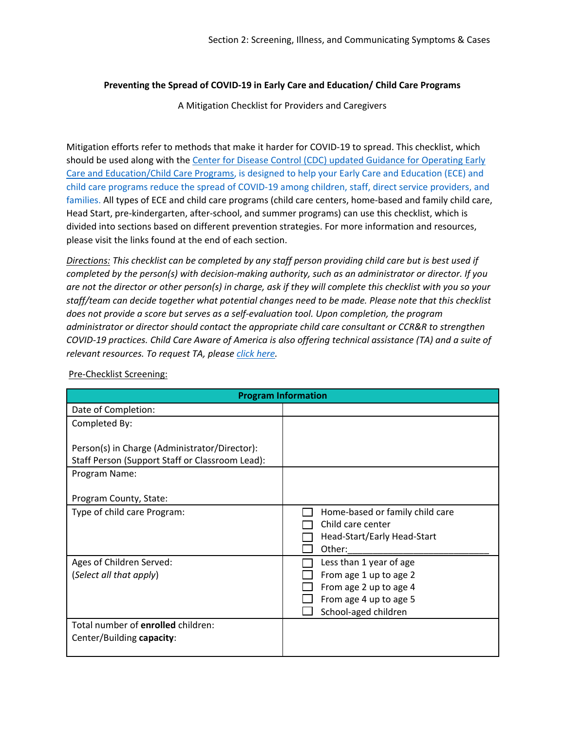## **Preventing the Spread of COVID-19 in Early Care and Education/ Child Care Programs**

A Mitigation Checklist for Providers and Caregivers

Mitigation efforts refer to methods that make it harder for COVID-19 to spread. This checklist, which should be used along with the Center for [Disease Control \(CDC\) updated Guidance for Operating Early](https://www.cdc.gov/coronavirus/2019-ncov/community/schools-childcare/child-care-guidance.html)  [Care and Education/Child Care Programs,](https://www.cdc.gov/coronavirus/2019-ncov/community/schools-childcare/child-care-guidance.html) is designed to help your Early Care and Education (ECE) and child care programs reduce the spread of COVID-19 among children, staff, direct service providers, and families. All types of ECE and child care programs (child care centers, home-based and family child care, Head Start, pre-kindergarten, after-school, and summer programs) can use this checklist, which is divided into sections based on different prevention strategies. For more information and resources, please visit the links found at the end of each section.

*Directions: This checklist can be completed by any staff person providing child care but is best used if completed by the person(s) with decision-making authority, such as an administrator or director. If you are not the director or other person(s) in charge, ask if they will complete this checklist with you so your staff/team can decide together what potential changes need to be made. Please note that this checklist does not provide a score but serves as a self-evaluation tool. Upon completion, the program administrator or director should contact the appropriate child care consultant or CCR&R to strengthen COVID-19 practices. Child Care Aware of America is also offering technical assistance (TA) and a suite of relevant resources. To request TA, please [click here.](https://info.childcareaware.org/request-technical-assistance-from-ccaoa)* 

| <b>Program Information</b>                                                                       |                                                                                                                               |  |
|--------------------------------------------------------------------------------------------------|-------------------------------------------------------------------------------------------------------------------------------|--|
| Date of Completion:                                                                              |                                                                                                                               |  |
| Completed By:                                                                                    |                                                                                                                               |  |
| Person(s) in Charge (Administrator/Director):<br>Staff Person (Support Staff or Classroom Lead): |                                                                                                                               |  |
| Program Name:                                                                                    |                                                                                                                               |  |
| Program County, State:                                                                           |                                                                                                                               |  |
| Type of child care Program:                                                                      | Home-based or family child care<br>Child care center<br>Head-Start/Early Head-Start<br>Other:                                 |  |
| Ages of Children Served:<br>(Select all that apply)                                              | Less than 1 year of age<br>From age 1 up to age 2<br>From age 2 up to age 4<br>From age 4 up to age 5<br>School-aged children |  |
| Total number of enrolled children:<br>Center/Building capacity:                                  |                                                                                                                               |  |

Pre-Checklist Screening: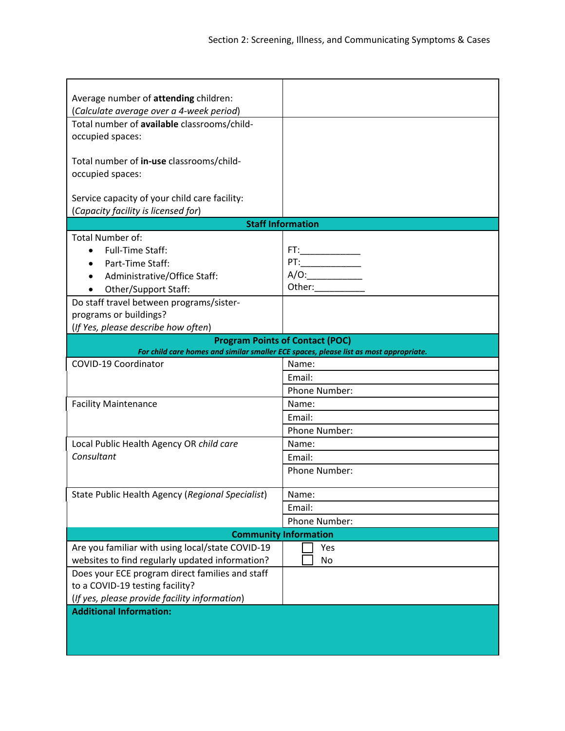| Average number of attending children:            |                                                                                       |
|--------------------------------------------------|---------------------------------------------------------------------------------------|
| (Calculate average over a 4-week period)         |                                                                                       |
| Total number of available classrooms/child-      |                                                                                       |
| occupied spaces:                                 |                                                                                       |
| Total number of in-use classrooms/child-         |                                                                                       |
| occupied spaces:                                 |                                                                                       |
|                                                  |                                                                                       |
| Service capacity of your child care facility:    |                                                                                       |
| (Capacity facility is licensed for)              |                                                                                       |
|                                                  | <b>Staff Information</b>                                                              |
| Total Number of:                                 |                                                                                       |
| Full-Time Staff:                                 |                                                                                       |
| Part-Time Staff:                                 |                                                                                       |
| Administrative/Office Staff:                     | A/O:                                                                                  |
| <b>Other/Support Staff:</b>                      |                                                                                       |
| Do staff travel between programs/sister-         |                                                                                       |
| programs or buildings?                           |                                                                                       |
| (If Yes, please describe how often)              |                                                                                       |
|                                                  | <b>Program Points of Contact (POC)</b>                                                |
|                                                  | For child care homes and similar smaller ECE spaces, please list as most appropriate. |
| COVID-19 Coordinator                             | Name:                                                                                 |
|                                                  | Email:                                                                                |
|                                                  | Phone Number:                                                                         |
| <b>Facility Maintenance</b>                      | Name:                                                                                 |
|                                                  | Email:                                                                                |
|                                                  | Phone Number:                                                                         |
| Local Public Health Agency OR child care         | Name:                                                                                 |
| Consultant                                       | Email:                                                                                |
|                                                  | Phone Number:                                                                         |
|                                                  |                                                                                       |
| State Public Health Agency (Regional Specialist) | Name:                                                                                 |
|                                                  | Email:                                                                                |
|                                                  | Phone Number:                                                                         |
|                                                  | <b>Community Information</b>                                                          |
| Are you familiar with using local/state COVID-19 | Yes                                                                                   |
| websites to find regularly updated information?  | No                                                                                    |
| Does your ECE program direct families and staff  |                                                                                       |
| to a COVID-19 testing facility?                  |                                                                                       |
| (If yes, please provide facility information)    |                                                                                       |
| <b>Additional Information:</b>                   |                                                                                       |
|                                                  |                                                                                       |
|                                                  |                                                                                       |
|                                                  |                                                                                       |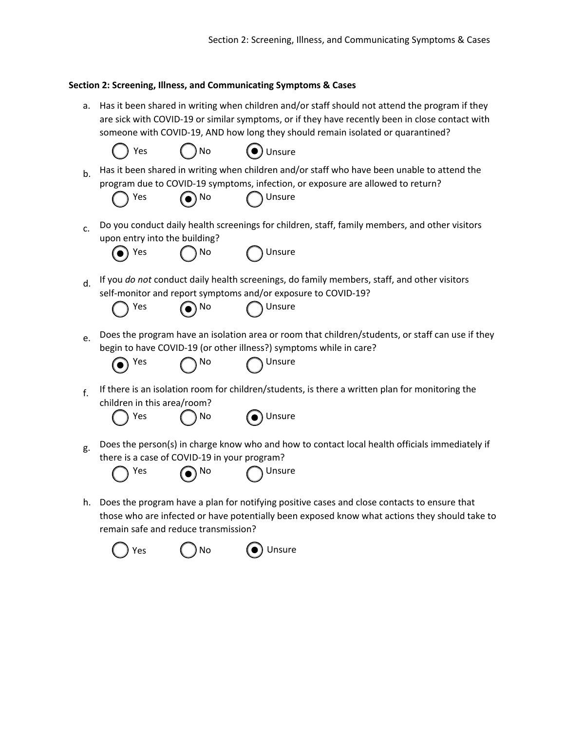## **Section 2: Screening, Illness, and Communicating Symptoms & Cases**

 $\bigcap$  Yes  $\bigcap$  No  $\bigcirc$  Unsure

a. Has it been shared in writing when children and/or staff should not attend the program if they are sick with COVID-19 or similar symptoms, or if they have recently been in close contact with someone with COVID-19, AND how long they should remain isolated or quarantined?

|  | _______ |                                                                                               |
|--|---------|-----------------------------------------------------------------------------------------------|
|  |         | h Has it been shared in writing when children and/or staff who have been unable to attend the |
|  |         | program due to COVID-19 symptoms, infection, or exposure are allowed to return?               |



c. Do you conduct daily health screenings for children, staff, family members, and other visitors upon entry into the building?

|  | ×,<br>I | .      |  |
|--|---------|--------|--|
|  |         |        |  |
|  |         | I<br>- |  |

Yes no Dunsure

d. If you *do not* conduct daily health screenings, do family members, staff, and other visitors self-monitor and report symptoms and/or exposure to COVID-19?

| Yes |  |
|-----|--|
|     |  |

No **No** Unsure

e. Does the program have an isolation area or room that children/students, or staff can use if they begin to have COVID-19 (or other illness?) symptoms while in care?



- 
- $f<sub>1</sub>$  If there is an isolation room for children/students, is there a written plan for monitoring the children in this area/room?

|  | Υρς |
|--|-----|
|--|-----|

No **O** Unsure

 $g<sub>g</sub>$  Does the person(s) in charge know who and how to contact local health officials immediately if there is a case of COVID-19 in your program?



h. Does the program have a plan for notifying positive cases and close contacts to ensure that those who are infected or have potentially been exposed know what actions they should take to remain safe and reduce transmission?



 $Yes$  ( )  $No$  ( ) Unsure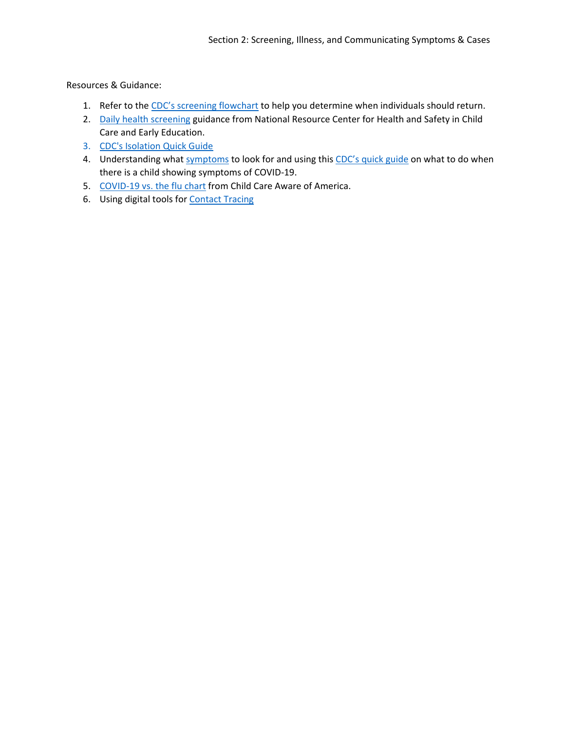Resources & Guidance:

- 1. Refer to the [CDC's screening flowchart](https://www.cdc.gov/coronavirus/2019-ncov/community/schools-childcare/symptom-screening-flowchart.html) to help you determine when individuals should return.
- 2. [Daily health screening](https://nrckids.org/CFOC/Database/3.1.1.1) guidance from National Resource Center for Health and Safety in Child Care and Early Education.
- 3. [CDC's Isolation Quick Guide](https://www.cdc.gov/coronavirus/2019-ncov/downloads/communication/print-resources/COVID-ChildCareProgram-Flowchart-H.pdf)
- 4. Understanding what [symptoms](https://www.cdc.gov/coronavirus/2019-ncov/symptoms-testing/symptoms.html) to look for and using this [CDC's quick guide](https://www.cdc.gov/coronavirus/2019-ncov/downloads/community/schools-childcare/childcare-providers-quick-guide-print.pdf) on what to do when there is a child showing symptoms of COVID-19.
- 5. [COVID-19 vs. the flu chart](https://www.childcareaware.org/wp-content/uploads/2020/10/COVID19FluAndYou-09292020.pdf) from Child Care Aware of America.
- 6. Using digital tools for **Contact Tracing**